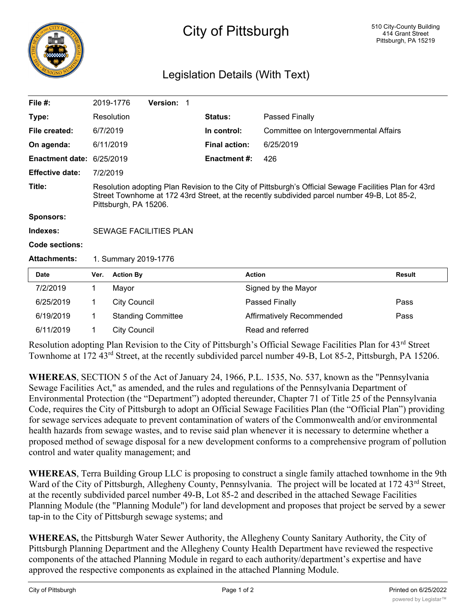

## City of Pittsburgh

## Legislation Details (With Text)

| File $#$ :             |                                                                                                                                                                                                                                 | 2019-1776           | <b>Version: 1</b>         |  |                      |                                        |               |
|------------------------|---------------------------------------------------------------------------------------------------------------------------------------------------------------------------------------------------------------------------------|---------------------|---------------------------|--|----------------------|----------------------------------------|---------------|
| Type:                  |                                                                                                                                                                                                                                 | Resolution          |                           |  | Status:              | Passed Finally                         |               |
| File created:          | 6/7/2019                                                                                                                                                                                                                        |                     |                           |  | In control:          | Committee on Intergovernmental Affairs |               |
| On agenda:             |                                                                                                                                                                                                                                 | 6/11/2019           |                           |  | <b>Final action:</b> | 6/25/2019                              |               |
| <b>Enactment date:</b> | 6/25/2019                                                                                                                                                                                                                       |                     |                           |  | <b>Enactment #:</b>  | 426                                    |               |
| <b>Effective date:</b> | 7/2/2019                                                                                                                                                                                                                        |                     |                           |  |                      |                                        |               |
| Title:                 | Resolution adopting Plan Revision to the City of Pittsburgh's Official Sewage Facilities Plan for 43rd<br>Street Townhome at 172 43rd Street, at the recently subdivided parcel number 49-B, Lot 85-2,<br>Pittsburgh, PA 15206. |                     |                           |  |                      |                                        |               |
| <b>Sponsors:</b>       |                                                                                                                                                                                                                                 |                     |                           |  |                      |                                        |               |
| Indexes:               | <b>SEWAGE FACILITIES PLAN</b>                                                                                                                                                                                                   |                     |                           |  |                      |                                        |               |
| <b>Code sections:</b>  |                                                                                                                                                                                                                                 |                     |                           |  |                      |                                        |               |
| <b>Attachments:</b>    | 1. Summary 2019-1776                                                                                                                                                                                                            |                     |                           |  |                      |                                        |               |
| Date                   | Ver.                                                                                                                                                                                                                            | <b>Action By</b>    |                           |  |                      | <b>Action</b>                          | <b>Result</b> |
| 7/2/2019               | 1                                                                                                                                                                                                                               | Mayor               |                           |  |                      | Signed by the Mayor                    |               |
| 6/25/2019              | 1                                                                                                                                                                                                                               | <b>City Council</b> |                           |  |                      | Passed Finally                         | Pass          |
| 6/19/2019              | 1                                                                                                                                                                                                                               |                     | <b>Standing Committee</b> |  |                      | Affirmatively Recommended              | Pass          |
| 6/11/2019              | 1                                                                                                                                                                                                                               | <b>City Council</b> |                           |  |                      | Read and referred                      |               |

Resolution adopting Plan Revision to the City of Pittsburgh's Official Sewage Facilities Plan for 43rd Street Townhome at 172 43rd Street, at the recently subdivided parcel number 49-B, Lot 85-2, Pittsburgh, PA 15206.

**WHEREAS**, SECTION 5 of the Act of January 24, 1966, P.L. 1535, No. 537, known as the "Pennsylvania Sewage Facilities Act," as amended, and the rules and regulations of the Pennsylvania Department of Environmental Protection (the "Department") adopted thereunder, Chapter 71 of Title 25 of the Pennsylvania Code, requires the City of Pittsburgh to adopt an Official Sewage Facilities Plan (the "Official Plan") providing for sewage services adequate to prevent contamination of waters of the Commonwealth and/or environmental health hazards from sewage wastes, and to revise said plan whenever it is necessary to determine whether a proposed method of sewage disposal for a new development conforms to a comprehensive program of pollution control and water quality management; and

**WHEREAS**, Terra Building Group LLC is proposing to construct a single family attached townhome in the 9th Ward of the City of Pittsburgh, Allegheny County, Pennsylvania. The project will be located at 172 43<sup>rd</sup> Street, at the recently subdivided parcel number 49-B, Lot 85-2 and described in the attached Sewage Facilities Planning Module (the "Planning Module") for land development and proposes that project be served by a sewer tap-in to the City of Pittsburgh sewage systems; and

**WHEREAS,** the Pittsburgh Water Sewer Authority, the Allegheny County Sanitary Authority, the City of Pittsburgh Planning Department and the Allegheny County Health Department have reviewed the respective components of the attached Planning Module in regard to each authority/department's expertise and have approved the respective components as explained in the attached Planning Module.